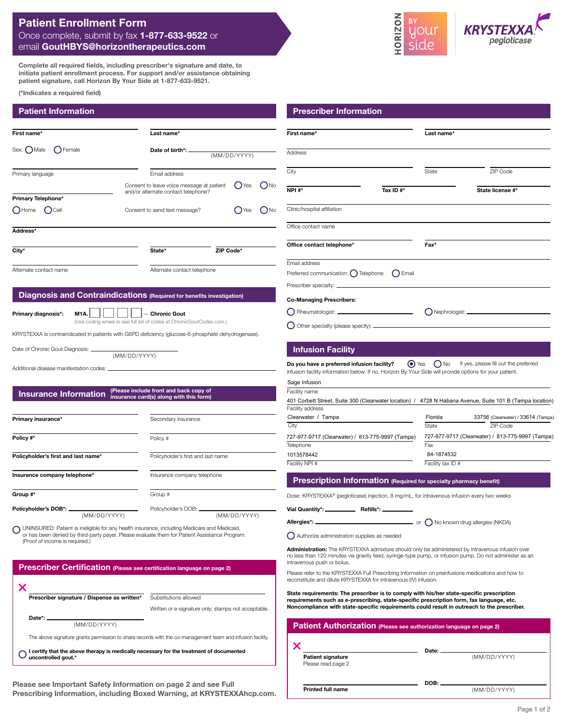## **Patient Enrollment Form** Once complete, submit by fax **1-877-633-9522** or email **GoutHBYS@horizontherapeutics.com**

**Complete all required fields, including prescriber's signature and date, to initiate patient enrollment process. For support and/or assistance obtaining patient signature, call Horizon By Your Side at 1-877-633-9521.**

**(\*Indicates a required field)**

| First name*                   | Last name*                                                                       |                       |  |  |
|-------------------------------|----------------------------------------------------------------------------------|-----------------------|--|--|
| Sex: $\bigcap$ Male<br>Female | (MM/DD/YYYY)                                                                     |                       |  |  |
| Primary language              | Email address                                                                    |                       |  |  |
| Primary Telephone*            | Consent to leave voice message at patient<br>and/or alternate contact telephone? | N <sub>0</sub><br>Yes |  |  |
| $\bigcirc$ Home<br>$)$ Cell   | Consent to send text message?                                                    | N <sub>0</sub><br>Yes |  |  |
| Address*                      |                                                                                  |                       |  |  |
| City*                         | State*                                                                           | ZIP Code*             |  |  |
| Alternate contact name        | Alternate contact telephone                                                      |                       |  |  |

### **Diagnosis and Contraindications (Required for benefits investigation)**

**Primary diagnosis\*:**

**M1A.**  $\begin{array}{|c|c|c|c|} \hline \text{M1A.} & \text{M1B.} \\\hline \end{array}$   $\begin{array}{|c|c|c|c|c|} \hline \text{Chronic Gout} & \text{M1C.} \\\hline \end{array}$ 

(Use coding wheel or see full list of codes at ChronicGoutCodes.com.)

KRYSTEXXA is contraindicated in patients with G6PD deficiency (glucose-6-phosphate dehydrogenase).

(MM/DD/YYYY)

Date of Chronic Gout Diagnosis:

**uncontrolled gout.\***

Additional disease manifestation codes:

# **Insurance Information (Please include front and back copy of insurance card(s) along with this form)**

| Primary insurance*                  | Secondary insurance                            |  |  |
|-------------------------------------|------------------------------------------------|--|--|
| Policy #*                           | Policy #                                       |  |  |
| Policyholder's first and last name* | Policyholder's first and last name             |  |  |
| Insurance company telephone*        | Insurance company telephone                    |  |  |
| Group #*                            | Group #                                        |  |  |
| (MM/DD/YYYY)                        | Policyholder's DOB: __________<br>(MM/DD/YYYY) |  |  |

UNINSURED: Patient is ineligible for any health insurance, including Medicare and Medicaid, or has been denied by third-party payer. Please evaluate them for Patient Assistance Program. (Proof of income is required.)

| <b>Prescriber Certification</b> (Please see certification language on page 2)                             |                                                     |  |  |  |
|-----------------------------------------------------------------------------------------------------------|-----------------------------------------------------|--|--|--|
|                                                                                                           |                                                     |  |  |  |
| Prescriber signature / Dispense as written*                                                               | Substitutions allowed                               |  |  |  |
|                                                                                                           | Written or e-signature only; stamps not acceptable. |  |  |  |
| Date*: _                                                                                                  |                                                     |  |  |  |
| (MM/DD/YYYY)                                                                                              |                                                     |  |  |  |
| The above signature grants permission to share records with the co-management team and infusion facility. |                                                     |  |  |  |
| certify that the above therapy is medically necessary for the treatment of documented                     |                                                     |  |  |  |

**Please see Important Safety Information on page 2 and see [Full](https://www.hzndocs.com/KRYSTEXXA-Prescribing-Information.pdf)  [Prescribing Information](https://www.hzndocs.com/KRYSTEXXA-Prescribing-Information.pdf), including Boxed Warning, at [KRYSTEXXAhcp.com](https://www.krystexxahcp.com/).**



**ORIZON** 

#### **Infusion Facility**

 $\bigcirc$  Other specialty (please specify):  $\sqsubset$ 

**If yes, please fill out the preferred Do you have a preferred infusion facility?** infusion facility information below. If no, Horizon By Your Side will provide options for your patient.

|                                                  | 401 Corbett Street, Suite 300 (Clearwater location) / 4728 N Habana Avenue, Suite 101 B (Tampa location) |  |
|--------------------------------------------------|----------------------------------------------------------------------------------------------------------|--|
|                                                  |                                                                                                          |  |
| Florida                                          | 33756 (Clearwater) / 33614 (Tampa)                                                                       |  |
| State                                            | ZIP Code                                                                                                 |  |
| 727-977-9717 (Clearwater) / 813-775-9997 (Tampa) |                                                                                                          |  |
| Fax                                              |                                                                                                          |  |
| 84-1874532                                       |                                                                                                          |  |
|                                                  |                                                                                                          |  |
|                                                  | Facility tax ID #                                                                                        |  |

**Prescription Information (Required for specialty pharmacy benefit)**

Dose: KRYSTEXXA® (pegloticase) injection, 8 mg/mL, for intravenous infusion every two weeks

**Vial Quantity\*: Refills\*:**

**Allergies\*:**

 $\Box$  or  $\bigcirc$  No known drug allergies (NKDA)

Authorize administration supplies as needed

**Administration:** The KRYSTEXXA admixture should only be administered by intravenous infusion over no less than 120 minutes via gravity feed, syringe-type pump, or infusion pump. Do not administer as an intravenous push or bolus.

Please refer to the KRYSTEXXA Full Prescribing Information on preinfusions medications and how to reconstitute and dilute KRYSTEXXA for intravenous (IV) infusion.

**State requirements: The prescriber is to comply with his/her state-specific prescription requirements such as e-prescribing, state-specific prescription form, fax language, etc. Noncompliance with state-specific requirements could result in outreach to the prescriber.**

| Patient Authorization (Please see authorization language on page 2) |       |              |  |  |  |
|---------------------------------------------------------------------|-------|--------------|--|--|--|
|                                                                     | Date: |              |  |  |  |
| <b>Patient signature</b>                                            |       | (MM/DD/YYYY) |  |  |  |
| Please read page 2                                                  |       |              |  |  |  |

**DOB:**

**Printed full name**

(MM/DD/YYYY)